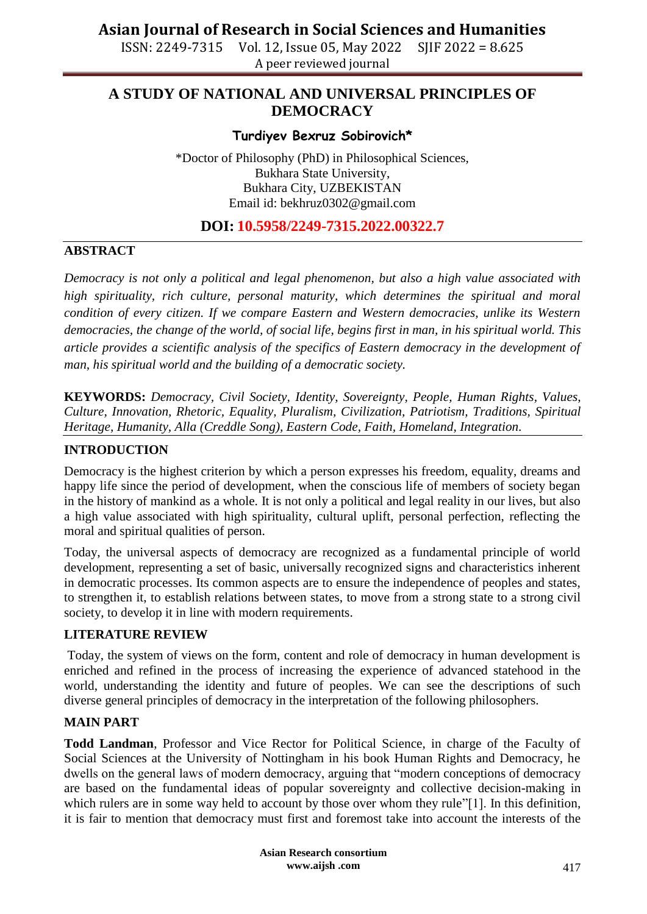ISSN: 2249-7315 Vol. 12, Issue 05, May 2022 SJIF 2022 = 8.625 A peer reviewed journal

## **A STUDY OF NATIONAL AND UNIVERSAL PRINCIPLES OF DEMOCRACY**

## **Turdiyev Bexruz Sobirovich\***

\*Doctor of Philosophy (PhD) in Philosophical Sciences, Bukhara State University, Bukhara City, UZBEKISTAN Email id: [bekhruz0302@gmail.com](mailto:bekhruz0302@gmail.com)

## **DOI: 10.5958/2249-7315.2022.00322.7**

## **ABSTRACT**

*Democracy is not only a political and legal phenomenon, but also a high value associated with high spirituality, rich culture, personal maturity, which determines the spiritual and moral condition of every citizen. If we compare Eastern and Western democracies, unlike its Western democracies, the change of the world, of social life, begins first in man, in his spiritual world. This article provides a scientific analysis of the specifics of Eastern democracy in the development of man, his spiritual world and the building of a democratic society.*

**KEYWORDS:** *Democracy, Civil Society, Identity, Sovereignty, People, Human Rights, Values, Culture, Innovation, Rhetoric, Equality, Pluralism, Civilization, Patriotism, Traditions, Spiritual Heritage, Humanity, Alla (Creddle Song), Eastern Code, Faith, Homeland, Integration.*

#### **INTRODUCTION**

Democracy is the highest criterion by which a person expresses his freedom, equality, dreams and happy life since the period of development, when the conscious life of members of society began in the history of mankind as a whole. It is not only a political and legal reality in our lives, but also a high value associated with high spirituality, cultural uplift, personal perfection, reflecting the moral and spiritual qualities of person.

Today, the universal aspects of democracy are recognized as a fundamental principle of world development, representing a set of basic, universally recognized signs and characteristics inherent in democratic processes. Its common aspects are to ensure the independence of peoples and states, to strengthen it, to establish relations between states, to move from a strong state to a strong civil society, to develop it in line with modern requirements.

#### **LITERATURE REVIEW**

Today, the system of views on the form, content and role of democracy in human development is enriched and refined in the process of increasing the experience of advanced statehood in the world, understanding the identity and future of peoples. We can see the descriptions of such diverse general principles of democracy in the interpretation of the following philosophers.

#### **MAIN PART**

**Todd Landman**, Professor and Vice Rector for Political Science, in charge of the Faculty of Social Sciences at the University of Nottingham in his book Human Rights and Democracy, he dwells on the general laws of modern democracy, arguing that "modern conceptions of democracy are based on the fundamental ideas of popular sovereignty and collective decision-making in which rulers are in some way held to account by those over whom they rule"[1]. In this definition, it is fair to mention that democracy must first and foremost take into account the interests of the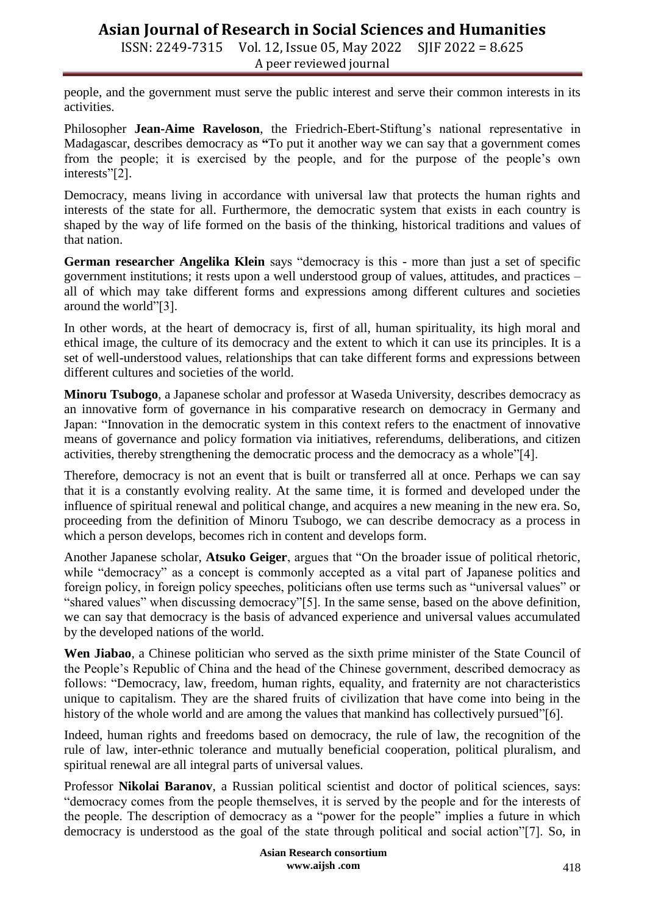ISSN: 2249-7315 Vol. 12, Issue 05, May 2022 SJIF 2022 = 8.625 A peer reviewed journal

people, and the government must serve the public interest and serve their common interests in its activities.

Philosopher **Jean-Aime Raveloson**, the Friedrich-Ebert-Stiftung's national representative in Madagascar, describes democracy as **"**To put it another way we can say that a government comes from the people; it is exercised by the people, and for the purpose of the people's own interests"[2].

Democracy, means living in accordance with universal law that protects the human rights and interests of the state for all. Furthermore, the democratic system that exists in each country is shaped by the way of life formed on the basis of the thinking, historical traditions and values of that nation.

**German researcher Angelika Klein** says "democracy is this - more than just a set of specific government institutions; it rests upon a well understood group of values, attitudes, and practices – all of which may take different forms and expressions among different cultures and societies around the world"[3].

In other words, at the heart of democracy is, first of all, human spirituality, its high moral and ethical image, the culture of its democracy and the extent to which it can use its principles. It is a set of well-understood values, relationships that can take different forms and expressions between different cultures and societies of the world.

**Minoru Tsubogo**, a Japanese scholar and professor at Waseda University, describes democracy as an innovative form of governance in his comparative research on democracy in Germany and Japan: "Innovation in the democratic system in this context refers to the enactment of innovative means of governance and policy formation via initiatives, referendums, deliberations, and citizen activities, thereby strengthening the democratic process and the democracy as a whole"[4].

Therefore, democracy is not an event that is built or transferred all at once. Perhaps we can say that it is a constantly evolving reality. At the same time, it is formed and developed under the influence of spiritual renewal and political change, and acquires a new meaning in the new era. So, proceeding from the definition of Minoru Tsubogo, we can describe democracy as a process in which a person develops, becomes rich in content and develops form.

Another Japanese scholar, **Atsuko Geiger**, argues that "On the broader issue of political rhetoric, while "democracy" as a concept is commonly accepted as a vital part of Japanese politics and foreign policy, in foreign policy speeches, politicians often use terms such as "universal values" or "shared values" when discussing democracy"[5]. In the same sense, based on the above definition, we can say that democracy is the basis of advanced experience and universal values accumulated by the developed nations of the world.

**Wen Jiabao**, a Chinese politician who served as the sixth prime minister of the State Council of the People's Republic of China and the head of the Chinese government, described democracy as follows: "Democracy, law, freedom, human rights, equality, and fraternity are not characteristics unique to capitalism. They are the shared fruits of civilization that have come into being in the history of the whole world and are among the values that mankind has collectively pursued"[6].

Indeed, human rights and freedoms based on democracy, the rule of law, the recognition of the rule of law, inter-ethnic tolerance and mutually beneficial cooperation, political pluralism, and spiritual renewal are all integral parts of universal values.

Professor **Nikolai Baranov**, a Russian political scientist and doctor of political sciences, says: "democracy comes from the people themselves, it is served by the people and for the interests of the people. The description of democracy as a "power for the people" implies a future in which democracy is understood as the goal of the state through political and social action"[7]. So, in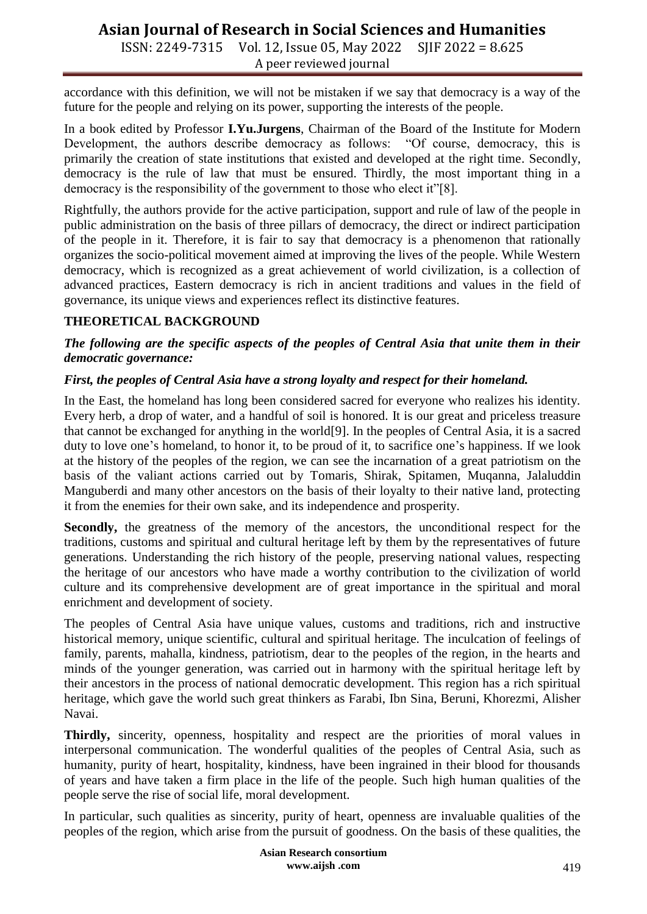ISSN: 2249-7315 Vol. 12, Issue 05, May 2022 SJIF 2022 = 8.625 A peer reviewed journal

accordance with this definition, we will not be mistaken if we say that democracy is a way of the future for the people and relying on its power, supporting the interests of the people.

In a book edited by Professor **I.Yu.Jurgens**, Chairman of the Board of the Institute for Modern Development, the authors describe democracy as follows: "Of course, democracy, this is primarily the creation of state institutions that existed and developed at the right time. Secondly, democracy is the rule of law that must be ensured. Thirdly, the most important thing in a democracy is the responsibility of the government to those who elect it"[8].

Rightfully, the authors provide for the active participation, support and rule of law of the people in public administration on the basis of three pillars of democracy, the direct or indirect participation of the people in it. Therefore, it is fair to say that democracy is a phenomenon that rationally organizes the socio-political movement aimed at improving the lives of the people. While Western democracy, which is recognized as a great achievement of world civilization, is a collection of advanced practices, Eastern democracy is rich in ancient traditions and values in the field of governance, its unique views and experiences reflect its distinctive features.

## **THEORETICAL BACKGROUND**

#### *The following are the specific aspects of the peoples of Central Asia that unite them in their democratic governance:*

## *First, the peoples of Central Asia have a strong loyalty and respect for their homeland.*

In the East, the homeland has long been considered sacred for everyone who realizes his identity. Every herb, a drop of water, and a handful of soil is honored. It is our great and priceless treasure that cannot be exchanged for anything in the world[9]. In the peoples of Central Asia, it is a sacred duty to love one's homeland, to honor it, to be proud of it, to sacrifice one's happiness. If we look at the history of the peoples of the region, we can see the incarnation of a great patriotism on the basis of the valiant actions carried out by Tomaris, Shirak, Spitamen, Muqanna, Jalaluddin Manguberdi and many other ancestors on the basis of their loyalty to their native land, protecting it from the enemies for their own sake, and its independence and prosperity.

Secondly, the greatness of the memory of the ancestors, the unconditional respect for the traditions, customs and spiritual and cultural heritage left by them by the representatives of future generations. Understanding the rich history of the people, preserving national values, respecting the heritage of our ancestors who have made a worthy contribution to the civilization of world culture and its comprehensive development are of great importance in the spiritual and moral enrichment and development of society.

The peoples of Central Asia have unique values, customs and traditions, rich and instructive historical memory, unique scientific, cultural and spiritual heritage. The inculcation of feelings of family, parents, mahalla, kindness, patriotism, dear to the peoples of the region, in the hearts and minds of the younger generation, was carried out in harmony with the spiritual heritage left by their ancestors in the process of national democratic development. This region has a rich spiritual heritage, which gave the world such great thinkers as Farabi, Ibn Sina, Beruni, Khorezmi, Alisher Navai.

**Thirdly,** sincerity, openness, hospitality and respect are the priorities of moral values in interpersonal communication. The wonderful qualities of the peoples of Central Asia, such as humanity, purity of heart, hospitality, kindness, have been ingrained in their blood for thousands of years and have taken a firm place in the life of the people. Such high human qualities of the people serve the rise of social life, moral development.

In particular, such qualities as sincerity, purity of heart, openness are invaluable qualities of the peoples of the region, which arise from the pursuit of goodness. On the basis of these qualities, the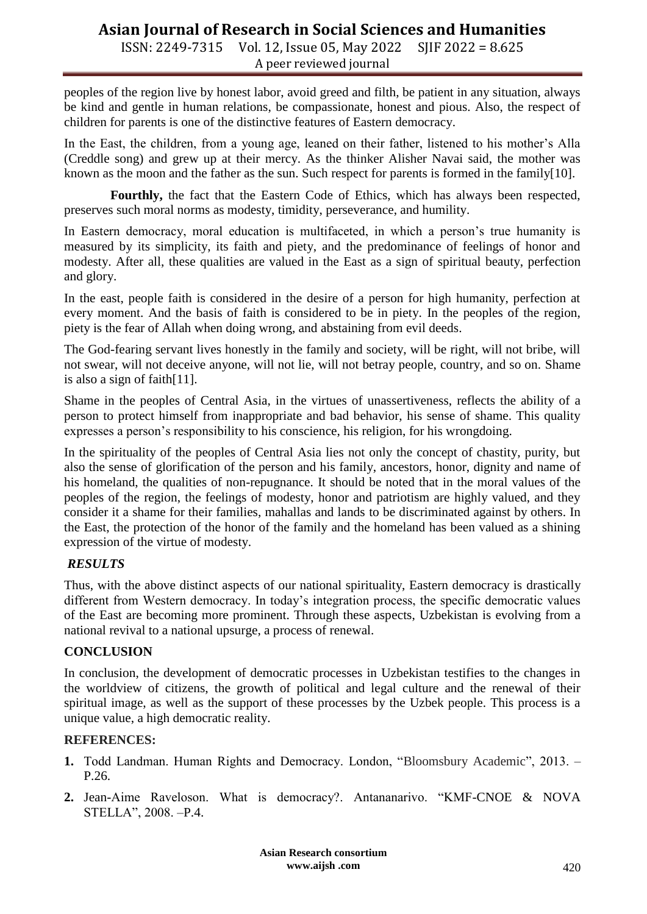ISSN: 2249-7315 Vol. 12, Issue 05, May 2022 SJIF 2022 = 8.625 A peer reviewed journal

peoples of the region live by honest labor, avoid greed and filth, be patient in any situation, always be kind and gentle in human relations, be compassionate, honest and pious. Also, the respect of children for parents is one of the distinctive features of Eastern democracy.

In the East, the children, from a young age, leaned on their father, listened to his mother's Alla (Creddle song) and grew up at their mercy. As the thinker Alisher Navai said, the mother was known as the moon and the father as the sun. Such respect for parents is formed in the family[10].

**Fourthly,** the fact that the Eastern Code of Ethics, which has always been respected, preserves such moral norms as modesty, timidity, perseverance, and humility.

In Eastern democracy, moral education is multifaceted, in which a person's true humanity is measured by its simplicity, its faith and piety, and the predominance of feelings of honor and modesty. After all, these qualities are valued in the East as a sign of spiritual beauty, perfection and glory.

In the east, people faith is considered in the desire of a person for high humanity, perfection at every moment. And the basis of faith is considered to be in piety. In the peoples of the region, piety is the fear of Allah when doing wrong, and abstaining from evil deeds.

The God-fearing servant lives honestly in the family and society, will be right, will not bribe, will not swear, will not deceive anyone, will not lie, will not betray people, country, and so on. Shame is also a sign of faith[11].

Shame in the peoples of Central Asia, in the virtues of unassertiveness, reflects the ability of a person to protect himself from inappropriate and bad behavior, his sense of shame. This quality expresses a person's responsibility to his conscience, his religion, for his wrongdoing.

In the spirituality of the peoples of Central Asia lies not only the concept of chastity, purity, but also the sense of glorification of the person and his family, ancestors, honor, dignity and name of his homeland, the qualities of non-repugnance. It should be noted that in the moral values of the peoples of the region, the feelings of modesty, honor and patriotism are highly valued, and they consider it a shame for their families, mahallas and lands to be discriminated against by others. In the East, the protection of the honor of the family and the homeland has been valued as a shining expression of the virtue of modesty.

## *RESULTS*

Thus, with the above distinct aspects of our national spirituality, Eastern democracy is drastically different from Western democracy. In today's integration process, the specific democratic values of the East are becoming more prominent. Through these aspects, Uzbekistan is evolving from a national revival to a national upsurge, a process of renewal.

#### **CONCLUSION**

In conclusion, the development of democratic processes in Uzbekistan testifies to the changes in the worldview of citizens, the growth of political and legal culture and the renewal of their spiritual image, as well as the support of these processes by the Uzbek people. This process is a unique value, a high democratic reality.

#### **REFERENCES:**

- **1.** Todd Landman. Human Rights and Democracy. London, "Bloomsbury Academic", 2013. P.26.
- **2.** Jean-Aime Raveloson. What is democracy?. Antananarivo. "KMF-CNOE & NOVA STELLA", 2008. –P.4.